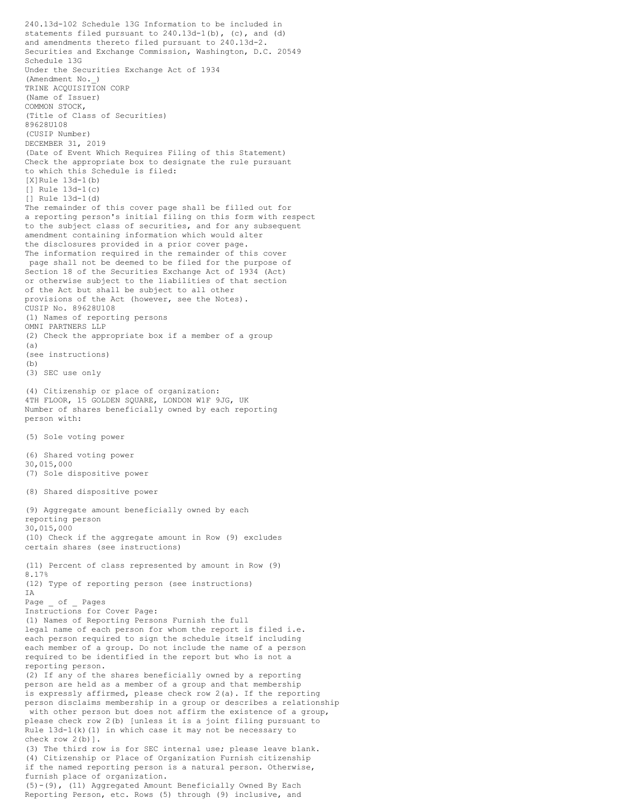240.13d-102 Schedule 13G Information to be included in statements filed pursuant to 240.13d-1(b), (c), and (d) and amendments thereto filed pursuant to 240.13d-2. Securities and Exchange Commission, Washington, D.C. 20549 Schedule 13G Under the Securities Exchange Act of 1934 (Amendment No.\_) TRINE ACQUISITION CORP (Name of Issuer) COMMON STOCK, (Title of Class of Securities) 89628U108 (CUSIP Number) DECEMBER 31, 2019 (Date of Event Which Requires Filing of this Statement) Check the appropriate box to designate the rule pursuant to which this Schedule is filed: [X]Rule 13d-1(b) [] Rule 13d-1(c) [] Rule 13d-1(d) The remainder of this cover page shall be filled out for a reporting person's initial filing on this form with respect to the subject class of securities, and for any subsequent amendment containing information which would alter the disclosures provided in a prior cover page. The information required in the remainder of this cover page shall not be deemed to be filed for the purpose of Section 18 of the Securities Exchange Act of 1934 (Act) or otherwise subject to the liabilities of that section of the Act but shall be subject to all other provisions of the Act (however, see the Notes). CUSIP No. 89628U108 (1) Names of reporting persons OMNI PARTNERS LLP (2) Check the appropriate box if a member of a group  $(A)$ (see instructions)  $(b)$ (3) SEC use only (4) Citizenship or place of organization: 4TH FLOOR, 15 GOLDEN SQUARE, LONDON W1F 9JG, UK Number of shares beneficially owned by each reporting person with: (5) Sole voting power (6) Shared voting power 30,015,000 (7) Sole dispositive power (8) Shared dispositive power (9) Aggregate amount beneficially owned by each reporting person 30,015,000 (10) Check if the aggregate amount in Row (9) excludes certain shares (see instructions) (11) Percent of class represented by amount in Row (9) 8.17% (12) Type of reporting person (see instructions) TA. Page \_ of \_ Pages Instructions for Cover Page: (1) Names of Reporting Persons Furnish the full legal name of each person for whom the report is filed i.e. each person required to sign the schedule itself including each member of a group. Do not include the name of a person required to be identified in the report but who is not a reporting person. (2) If any of the shares beneficially owned by a reporting person are held as a member of a group and that membership is expressly affirmed, please check row 2(a). If the reporting person disclaims membership in a group or describes a relationship with other person but does not affirm the existence of a group, please check row 2(b) [unless it is a joint filing pursuant to Rule 13d-1(k)(1) in which case it may not be necessary to check row 2(b)]. (3) The third row is for SEC internal use; please leave blank. (4) Citizenship or Place of Organization Furnish citizenship if the named reporting person is a natural person. Otherwise, furnish place of organization. (5)-(9), (11) Aggregated Amount Beneficially Owned By Each Reporting Person, etc. Rows (5) through (9) inclusive, and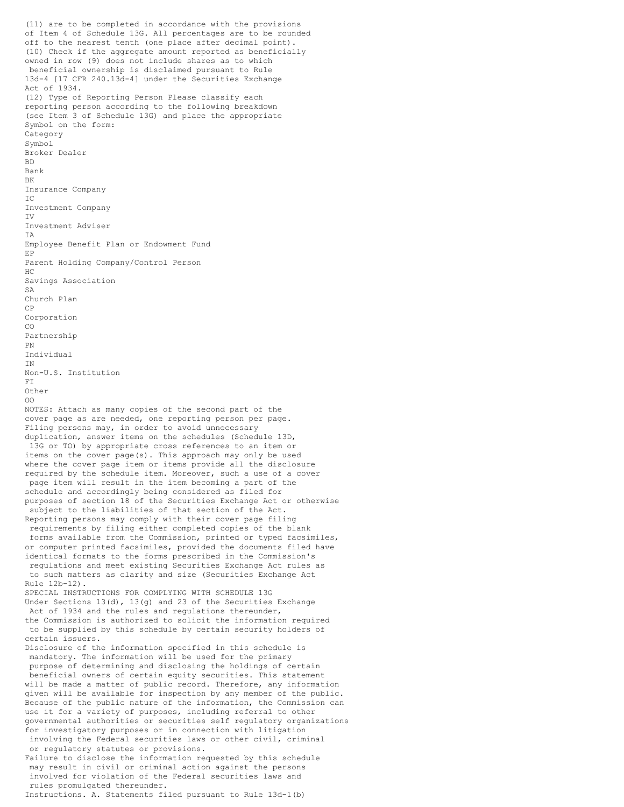(11) are to be completed in accordance with the provisions of Item 4 of Schedule 13G. All percentages are to be rounded off to the nearest tenth (one place after decimal point). (10) Check if the aggregate amount reported as beneficially owned in row (9) does not include shares as to which beneficial ownership is disclaimed pursuant to Rule 13d-4 [17 CFR 240.13d-4] under the Securities Exchange Act of 1934. (12) Type of Reporting Person Please classify each reporting person according to the following breakdown (see Item 3 of Schedule 13G) and place the appropriate Symbol on the form: Category Symbol Broker Dealer BD Bank BK Insurance Company IC Investment Company IV Investment Adviser IA Employee Benefit Plan or Endowment Fund EP Parent Holding Company/Control Person HC Savings Association SA Church Plan CP Corporation CO Partnership PN Individual IN Non-U.S. Institution FI Other OO NOTES: Attach as many copies of the second part of the cover page as are needed, one reporting person per page. Filing persons may, in order to avoid unnecessary duplication, answer items on the schedules (Schedule 13D, 13G or TO) by appropriate cross references to an item or items on the cover page(s). This approach may only be used where the cover page item or items provide all the disclosure required by the schedule item. Moreover, such a use of a cover page item will result in the item becoming a part of the schedule and accordingly being considered as filed for purposes of section 18 of the Securities Exchange Act or otherwise subject to the liabilities of that section of the Act. Reporting persons may comply with their cover page filing requirements by filing either completed copies of the blank forms available from the Commission, printed or typed facsimiles, or computer printed facsimiles, provided the documents filed have identical formats to the forms prescribed in the Commission's regulations and meet existing Securities Exchange Act rules as to such matters as clarity and size (Securities Exchange Act Rule 12b-12). SPECIAL INSTRUCTIONS FOR COMPLYING WITH SCHEDULE 13G Under Sections  $13(d)$ ,  $13(q)$  and 23 of the Securities Exchange Act of 1934 and the rules and regulations thereunder, the Commission is authorized to solicit the information required to be supplied by this schedule by certain security holders of certain issuers. Disclosure of the information specified in this schedule is mandatory. The information will be used for the primary purpose of determining and disclosing the holdings of certain beneficial owners of certain equity securities. This statement will be made a matter of public record. Therefore, any information given will be available for inspection by any member of the public. Because of the public nature of the information, the Commission can use it for a variety of purposes, including referral to other governmental authorities or securities self regulatory organizations for investigatory purposes or in connection with litigation involving the Federal securities laws or other civil, criminal or regulatory statutes or provisions. Failure to disclose the information requested by this schedule may result in civil or criminal action against the persons involved for violation of the Federal securities laws and rules promulgated thereunder. Instructions. A. Statements filed pursuant to Rule 13d-1(b)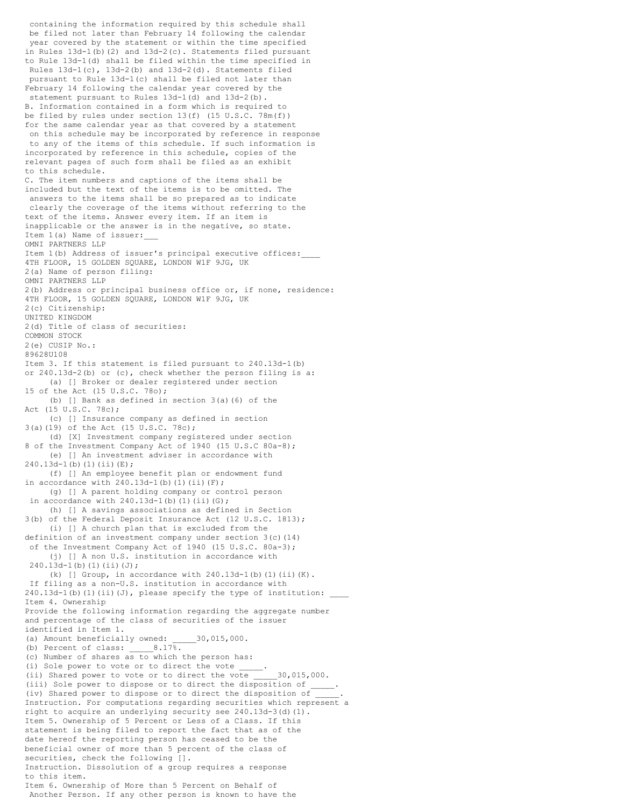containing the information required by this schedule shall be filed not later than February 14 following the calendar year covered by the statement or within the time specified in Rules 13d-1(b)(2) and 13d-2(c). Statements filed pursuant to Rule 13d-1(d) shall be filed within the time specified in Rules 13d-1(c), 13d-2(b) and 13d-2(d). Statements filed pursuant to Rule 13d-1(c) shall be filed not later than February 14 following the calendar year covered by the statement pursuant to Rules 13d-1(d) and 13d-2(b). B. Information contained in a form which is required to be filed by rules under section 13(f) (15 U.S.C. 78m(f)) for the same calendar year as that covered by a statement on this schedule may be incorporated by reference in response to any of the items of this schedule. If such information is incorporated by reference in this schedule, copies of the relevant pages of such form shall be filed as an exhibit to this schedule. C. The item numbers and captions of the items shall be included but the text of the items is to be omitted. The answers to the items shall be so prepared as to indicate clearly the coverage of the items without referring to the text of the items. Answer every item. If an item is inapplicable or the answer is in the negative, so state. Item 1(a) Name of issuer:\_\_\_ OMNI PARTNERS LLP Item 1(b) Address of issuer's principal executive offices: 4TH FLOOR, 15 GOLDEN SQUARE, LONDON W1F 9JG, UK 2(a) Name of person filing: OMNI PARTNERS LLP 2(b) Address or principal business office or, if none, residence: 4TH FLOOR, 15 GOLDEN SQUARE, LONDON W1F 9JG, UK 2(c) Citizenship: UNITED KINGDOM 2(d) Title of class of securities: COMMON STOCK 2(e) CUSIP No.: 89628U108 Item 3. If this statement is filed pursuant to 240.13d-1(b) or 240.13d-2(b) or (c), check whether the person filing is a: (a) [] Broker or dealer registered under section 15 of the Act (15 U.S.C. 78o); (b) [] Bank as defined in section 3(a)(6) of the Act (15 U.S.C. 78c); (c) [] Insurance company as defined in section 3(a)(19) of the Act (15 U.S.C. 78c); (d) [X] Investment company registered under section 8 of the Investment Company Act of 1940 (15 U.S.C 80a-8); (e) [] An investment adviser in accordance with 240.13d-1(b)(1)(ii)(E); (f) [] An employee benefit plan or endowment fund in accordance with  $240.13d-1$ (b)(1)(ii)(F); (g) [] A parent holding company or control person in accordance with  $240.13d-1$ (b)(1)(ii)(G); (h) [] A savings associations as defined in Section 3(b) of the Federal Deposit Insurance Act (12 U.S.C. 1813); (i) [] A church plan that is excluded from the definition of an investment company under section 3(c)(14) of the Investment Company Act of 1940 (15 U.S.C. 80a-3); (j) [] A non U.S. institution in accordance with  $240.13d-1(b)(1)(ii)(J);$ (k) [] Group, in accordance with  $240.13d-1$ (b)(1)(ii)(K). If filing as a non-U.S. institution in accordance with 240.13d-1(b)(1)(ii)(J), please specify the type of institution: Item 4. Ownership Provide the following information regarding the aggregate number and percentage of the class of securities of the issuer identified in Item 1. (a) Amount beneficially owned: \_\_\_\_\_30,015,000. (b) Percent of class: \_\_\_\_\_8.17%. (c) Number of shares as to which the person has: (i) Sole power to vote or to direct the vote (ii) Shared power to vote or to direct the vote 30,015,000. (iii) Sole power to dispose or to direct the disposition of \_ (iv) Shared power to dispose or to direct the disposition of \_\_\_\_\_. Instruction. For computations regarding securities which represent a right to acquire an underlying security see 240.13d-3(d)(1). Item 5. Ownership of 5 Percent or Less of a Class. If this statement is being filed to report the fact that as of the date hereof the reporting person has ceased to be the beneficial owner of more than 5 percent of the class of securities, check the following []. Instruction. Dissolution of a group requires a response to this item. Item 6. Ownership of More than 5 Percent on Behalf of Another Person. If any other person is known to have the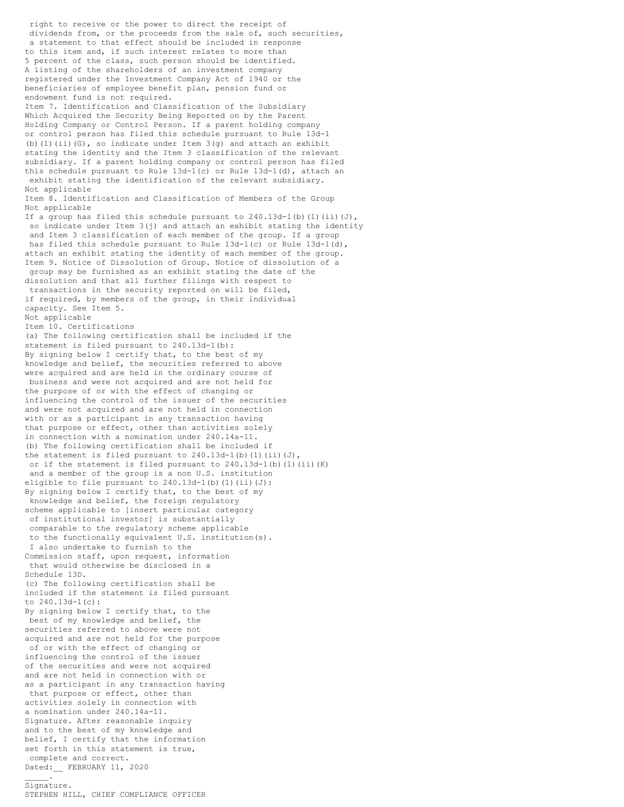right to receive or the power to direct the receipt of dividends from, or the proceeds from the sale of, such securities, a statement to that effect should be included in response to this item and, if such interest relates to more than 5 percent of the class, such person should be identified. A listing of the shareholders of an investment company registered under the Investment Company Act of 1940 or the beneficiaries of employee benefit plan, pension fund or endowment fund is not required. Item 7. Identification and Classification of the Subsidiary Which Acquired the Security Being Reported on by the Parent Holding Company or Control Person. If a parent holding company or control person has filed this schedule pursuant to Rule 13d-1 (b)(1)(ii)(G), so indicate under Item 3(g) and attach an exhibit stating the identity and the Item 3 classification of the relevant subsidiary. If a parent holding company or control person has filed this schedule pursuant to Rule 13d-1(c) or Rule 13d-1(d), attach an exhibit stating the identification of the relevant subsidiary. Not applicable Item 8. Identification and Classification of Members of the Group Not applicable If a group has filed this schedule pursuant to  $240.13d-1$ (b)(1)(ii)(J), so indicate under Item  $3(j)$  and attach an exhibit stating the identity and Item 3 classification of each member of the group. If a group has filed this schedule pursuant to Rule 13d-1(c) or Rule 13d-1(d), attach an exhibit stating the identity of each member of the group. Item 9. Notice of Dissolution of Group. Notice of dissolution of a group may be furnished as an exhibit stating the date of the dissolution and that all further filings with respect to transactions in the security reported on will be filed, if required, by members of the group, in their individual capacity. See Item 5. Not applicable Item 10. Certifications (a) The following certification shall be included if the statement is filed pursuant to 240.13d-1(b): By signing below I certify that, to the best of my knowledge and belief, the securities referred to above were acquired and are held in the ordinary course of business and were not acquired and are not held for the purpose of or with the effect of changing or influencing the control of the issuer of the securities and were not acquired and are not held in connection with or as a participant in any transaction having that purpose or effect, other than activities solely in connection with a nomination under 240.14a-11. (b) The following certification shall be included if the statement is filed pursuant to  $240.13d-1$ (b)(1)(ii)(J), or if the statement is filed pursuant to 240.13d-1(b)(1)(ii)(K) and a member of the group is a non U.S. institution eligible to file pursuant to  $240.13d-1(b)$  (1)(ii)(J): By signing below I certify that, to the best of my knowledge and belief, the foreign regulatory scheme applicable to [insert particular category of institutional investor] is substantially comparable to the regulatory scheme applicable to the functionally equivalent U.S. institution(s). I also undertake to furnish to the Commission staff, upon request, information that would otherwise be disclosed in a Schedule 13D. (c) The following certification shall be included if the statement is filed pursuant to 240.13d-1(c): By signing below I certify that, to the best of my knowledge and belief, the securities referred to above were not acquired and are not held for the purpose of or with the effect of changing or influencing the control of the issuer of the securities and were not acquired and are not held in connection with or as a participant in any transaction having that purpose or effect, other than activities solely in connection with a nomination under 240.14a-11. Signature. After reasonable inquiry and to the best of my knowledge and belief, I certify that the information set forth in this statement is true, complete and correct. Dated: FEBRUARY 11, 2020  $\mathcal{L}=\mathcal{L}$ 

## Signature.

STEPHEN HILL, CHIEF COMPLIANCE OFFICER